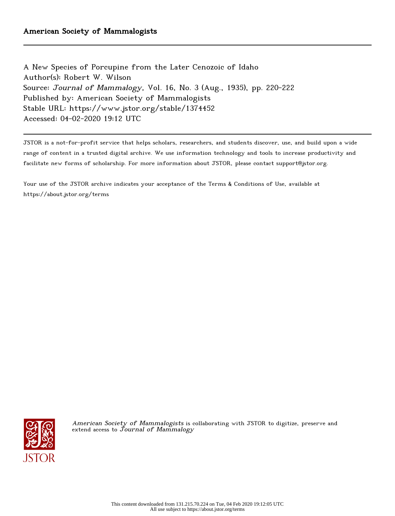A New Species of Porcupine from the Later Cenozoic of Idaho Author(s): Robert W. Wilson Source: Journal of Mammalogy, Vol. 16, No. 3 (Aug., 1935), pp. 220-222 Published by: American Society of Mammalogists Stable URL: https://www.jstor.org/stable/1374452 Accessed: 04-02-2020 19:12 UTC

JSTOR is a not-for-profit service that helps scholars, researchers, and students discover, use, and build upon a wide range of content in a trusted digital archive. We use information technology and tools to increase productivity and facilitate new forms of scholarship. For more information about JSTOR, please contact support@jstor.org.

Your use of the JSTOR archive indicates your acceptance of the Terms & Conditions of Use, available at https://about.jstor.org/terms



American Society of Mammalogists is collaborating with JSTOR to digitize, preserve and extend access to  ${\it Journal~of~Mammalogy}$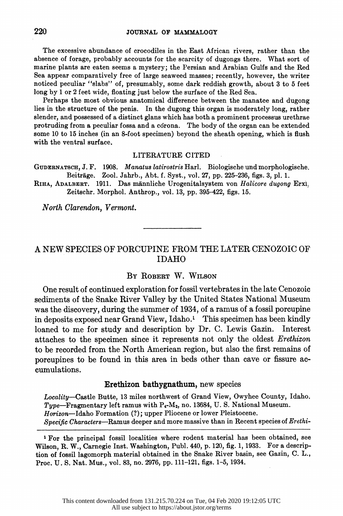The excessive abundance of crocodiles in the East African rivers, rather than the absence of forage, probably accounts for the scarcity of dugongs there. What sort of absence of forage, probably accounts for the scarcity of dugongs there. What sort of marine plants are eaten seems a mystery; the Persian and Arabian Gulfs and the Red marine plants are eaten seems a mystery; the Persian and Arabian Gulfs and the Red Sea appear comparatively free of large seaweed masses; recently, however, the writer Sea appear comparatively free of large seaweed masses; recently, however, the writer noticed peculiar "slabs" of, presumably, some dark reddish growth, about 3 to 5 feet noticed peculiar "slabs" of, presumably, some dark reddish growth, about 3 to 5 feet long by 1 or 2 feet wide, floating just below the surface of the Red Sea.

 Perhaps the most obvious anatomical difference between the manatee and dugong Perhaps the most obvious anatomical difference between the manatee and dugong lies in the structure of the penis. In the dugong this organ is moderately long, rather lies in the structure of the penis. In the dugong this organ is moderately long, rather slender, and possessed of a distinct glans which has both a prominent processus urethrae slender, and possessed of a distinct glans which has both a prominent processus urethrae protruding from a peculiar fossa and a cdrona. The body of the organ can be extended protruding from a peculiar fossa and a cdrona. The body of the organ can be extended some 10 to 15 inches (in an 8-foot specimen) beyond the sheath opening, which is flush some 10 to 15 inches (in an 8-foot specimen) beyond the sheath opening, which is flush with the ventral surface.

### LITERATURE CITED

 GUDERNATSCH, J. F. 1908. Manatus latirostris Harl. Biologische und morphologische. Beitrage. Zool. Jahrb., Abt. f. Syst., vol. 27, pp. 225-236, figs. 3, pl. 1.

RIHA, ADALBERT. 1911. Das männliche Urogenitalsystem von Halicore dugong Erxi. Zeitschr. Morphol. Anthrop., vol. 13, pp. 395-422, figs. 15.

North Clarendon, Vermont.

# A NEW SPECIES OF PORCUPINE FROM THE LATER CENOZOIC OF IDAHO

## BY ROBERT W. WILSON

 One result of continued exploration for fossil vertebrates in the late Cenozoic sediments of the Snake River Valley by the United States National Museum was the discovery, during the summer of 1934, of a ramus of a fossil porcupine in deposits exposed near Grand View, Idaho.' This specimen has been kindly loaned to me for study and description by Dr. C. Lewis Gazin. Interest attaches to the specimen since it represents not only the oldest Erethizon to be recorded from the North American region, but also the first remains of porcupines to be found in this area in beds other than cave or fissure ac cumulations.

### Erethizon bathygnathum, new species

 Locality-Castle Butte, 13 miles northwest of Grand View, Owyhee County, Idaho. Type-Fragmentary left ramus with  $P_4$ -M<sub>2</sub>, no. 13684, U.S. National Museum. Horizon-Idaho Formation (?); upper Pliocene or lower Pleistocene.

Specific Characters-Ramus deeper and more massive than in Recent species of Erethi-

 I For the principal fossil localities where rodent material has been obtained, see Wilson, R. W., Carnegie Inst. Washington, Publ. 440, p. 120, fig. 1, 1933. For a descrip tion of fossil lagomorph material obtained in the Snake River basin, see Gazin, C. L., Proc. U. S. Nat. Mus., vol. 83, no. 2976, pp. 111-121, figs. 1-5, 1934.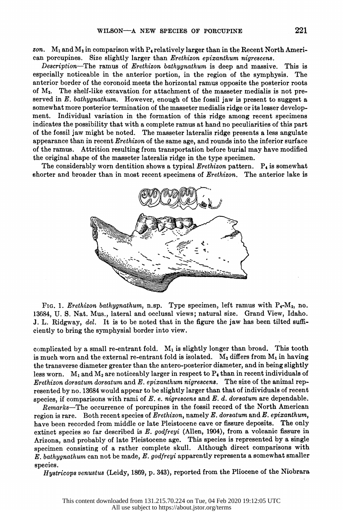zon.  $M_1$  and  $M_2$  in comparison with  $P_4$  relatively larger than in the Recent North American porcupines. Size slightly larger than Erethizon epixanthum nigrescens.

 Description-The ramus of Erethizon bathygnathum is deep and massive. This is especially noticeable in the anterior portion, in the region of the symphysis. The anterior border of the coronoid meets the horizontal ramus opposite the posterior roots of M2. The shelf-like excavation for attachment of the masseter medialis is not pre served in  $E$ , bathygnathum. However, enough of the fossil jaw is present to suggest a somewhat more posterior termination of the masseter medialis ridge or its lesser development. Individual variation in the formation of this ridge among recent specimens Individual variation in the formation of this ridge among recent specimens indicates the possibility that with a complete ramus at hand no peculiarities of this part of the fossil jaw might be noted. The masseter lateralis ridge presents a less angulate appearance than in recent  $E$ rethizon of the same age, and rounds into the inferior surface of the ramus. Attrition resulting from transportation before burial may have modified the original shape of the masseter lateralis ridge in the type specimen.

The considerably worn dentition shows a typical Erethizon pattern.  $P_4$  is somewhat shorter and broader than in most recent specimens of Erethizon. The anterior lake is



Fig. 1. *Erethizon bathygnathum*, n.sp. Type specimen, left ramus with P<sub>4</sub>-M<sub>2</sub>, no.<br>13684, U. S. Nat. Mus., lateral and occlusal views; natural size. Grand View, Idaho.<br>J. L. Ridgway, *del.* It is to be noted that in the Fig. 1. *Erethizon bathygnathum*, n.sp. Type specimen, left ramus with P<sub>4</sub>-M<sub>2</sub>, no. 13684, U. S. Nat. Mus., lateral and occlusal views; natural size. Grand View, Idaho.<br>J. L. Ridgway, del. It is to be noted that in the f FIG. 1. *Erethizon bathygnathum*, n.sp. Type specimen, left ramus with  $P_4-M_2$ , no.<br>13684, U. S. Nat. Mus., lateral and occlusal views; natural size. Grand View, Idaho.<br>J. L. Ridgway, del. It is to be noted that in the f 13684, U. S. Nat. Mus., lateral and occlusal views; natural size. Grand View, Idaho.<br>J. L. Ridgway, del. It is to be noted that in the figure the jaw has been tilted suffi-<br>ciently to bring the symphysial border into view

complicated by a small re-entrant fold.  $M_1$  is slightly longer than broad. This tooth<br>is much worn and the external re-entrant fold is isolated.  $M_2$  differs from  $M_1$  in having<br>the transverse diameter greater than th J. L. Ridgway, *del.* It is to be noted that in the figure the jaw has been tilted suffi-<br>ciently to bring the symphysial border into view.<br>complicated by a small re-entrant fold. M<sub>1</sub> is slightly longer than broad. This ciently to bring the symphysial border into view.<br>
complicated by a small re-entrant fold.  $M_1$  is slightly longer than broad. This tooth<br>
is much worn and the external re-entrant fold is isolated.  $M_2$  differs from  $M_$ complicated by a small re-entrant fold.  $M_1$  is slightly longer than broad. This tooth<br>is much worn and the external re-entrant fold is isolated.  $M_2$  differs from  $M_1$  in having<br>the transverse diameter greater than th is much worn and the external re-entrant fold is isolated.  $M_2$  differs from  $M_1$  in having<br>the transverse diameter greater than the antero-posterior diameter, and in being slightly<br>less worn.  $M_1$  and  $M_2$  are notice species, if comparisons with rami of E.e. nigrescens and E. dorsatum and E. epixanthum nigrescens. The size of the animal represented by no. 13684 would appear to be slightly larger than that of individuals of ecentrated Erethizon dorsatum dorsatum and E. epixanthum nigrescens. The size of the animal rep-<br>resented by no. 13684 would appear to be slightly larger than that of individuals of recent<br>species, if comparisons with rami of E. e. Remarks-The occurrence of porcupines in the posterior diameter, and in eem singlicity<br>above. M<sub>1</sub> and M<sub>2</sub> are noticeably larger in respect to P<sub>4</sub> than in recent individuals of<br>ethizon dorsatum dorsatum and E. epizanthum

Erethizon dorsatum dorsatum and E. epixanthum nigrescens. The size of the animal rep-<br>resented by no. 13684 would appear to be slightly larger than that of individuals of recent<br>species, if comparisons with rami of E. e. resented by no. 13084 would appear to be slightly larger than that of individuals of recent<br>species, if comparisons with rami of E. e. nigrescens and E. d. dorsatum are dependable.<br>Remarks—The occurrence of porcupines in species, it comparisons with rami of E. e. nigrescens and E. a. aorsatum are dependable.<br>
Remarks—The occurrence of porcupines in the fossil record of the North American<br>
region is rare. Both recent species of Erethizon, Remarks—The occurrence of porcupines in the fossil record of the North American<br>region is rare. Both recent species of Erethizon, namely E. dorsatum and E. epixanthum,<br>have been recorded from middle or late Pleistocene ca E. bathygnathum can not be made, E. godfreyi apparently represents. The only extinct species so far described is E. godfreyi (Allen, 1904), from a volcanic fissure in Arizona, and probably of late Pleistocene age. This sp species.

Hystricops venustus (Leidy, 1869, p. 343), reported from the Pliocene of the Niobrara